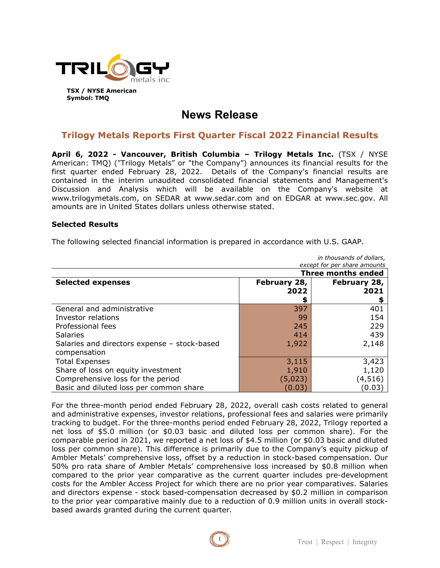

# **News Release**

# **Trilogy Metals Reports First Quarter Fiscal 2022 Financial Results**

**April 6, 2022 - Vancouver, British Columbia – Trilogy Metals Inc.** (TSX / NYSE American: TMQ) ("Trilogy Metals" or "the Company") announces its financial results for the first quarter ended February 28, 2022. Details of the Company's financial results are contained in the interim unaudited consolidated financial statements and Management's Discussion and Analysis which will be available on the Company's website at www.trilogymetals.com, on SEDAR at www.sedar.com and on EDGAR at www.sec.gov. All amounts are in United States dollars unless otherwise stated.

#### **Selected Results**

The following selected financial information is prepared in accordance with U.S. GAAP.

| in thousands of dollars,                     |              |              |
|----------------------------------------------|--------------|--------------|
| except for per share amounts                 |              |              |
| <b>Three months ended</b>                    |              |              |
| <b>Selected expenses</b>                     | February 28, | February 28, |
|                                              | 2022         | 2021         |
|                                              | \$           |              |
| General and administrative                   | 397          | 401          |
| Investor relations                           | 99           | 154          |
| Professional fees                            | 245          | 229          |
| <b>Salaries</b>                              | 414          | 439          |
| Salaries and directors expense - stock-based | 1,922        | 2,148        |
| compensation                                 |              |              |
| <b>Total Expenses</b>                        | 3,115        | 3,423        |
| Share of loss on equity investment           | 1,910        | 1,120        |
| Comprehensive loss for the period            | (5,023)      | (4,516)      |
| Basic and diluted loss per common share      | (0.03)       | (0.03)       |

For the three-month period ended February 28, 2022, overall cash costs related to general and administrative expenses, investor relations, professional fees and salaries were primarily tracking to budget. For the three-months period ended February 28, 2022, Trilogy reported a net loss of \$5.0 million (or \$0.03 basic and diluted loss per common share). For the comparable period in 2021, we reported a net loss of \$4.5 million (or \$0.03 basic and diluted loss per common share). This difference is primarily due to the Company's equity pickup of Ambler Metals' comprehensive loss, offset by a reduction in stock-based compensation. Our 50% pro rata share of Ambler Metals' comprehensive loss increased by \$0.8 million when compared to the prior year comparative as the current quarter includes pre-development costs for the Ambler Access Project for which there are no prior year comparatives. Salaries and directors expense - stock based-compensation decreased by \$0.2 million in comparison to the prior year comparative mainly due to a reduction of 0.9 million units in overall stockbased awards granted during the current quarter.

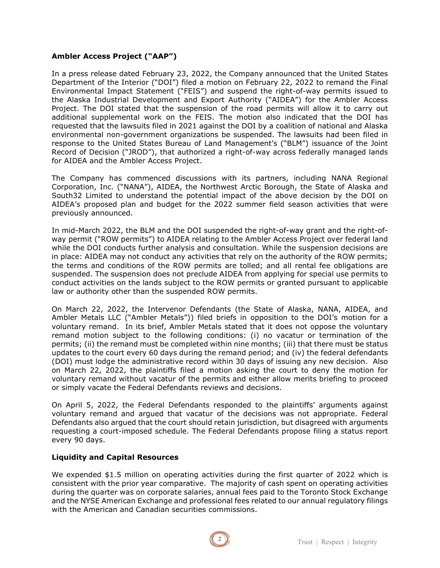## **Ambler Access Project ("AAP")**

In a press release dated February 23, 2022, the Company announced that the United States Department of the Interior ("DOI") filed a motion on February 22, 2022 to remand the Final Environmental Impact Statement ("FEIS") and suspend the right-of-way permits issued to the Alaska Industrial Development and Export Authority ("AIDEA") for the Ambler Access Project. The DOI stated that the suspension of the road permits will allow it to carry out additional supplemental work on the FEIS. The motion also indicated that the DOI has requested that the lawsuits filed in 2021 against the DOI by a coalition of national and Alaska environmental non-government organizations be suspended. The lawsuits had been filed in response to the United States Bureau of Land Management's ("BLM") issuance of the Joint Record of Decision ("JROD"), that authorized a right-of-way across federally managed lands for AIDEA and the Ambler Access Project.

The Company has commenced discussions with its partners, including NANA Regional Corporation, Inc. ("NANA"), AIDEA, the Northwest Arctic Borough, the State of Alaska and South32 Limited to understand the potential impact of the above decision by the DOI on AIDEA's proposed plan and budget for the 2022 summer field season activities that were previously announced.

In mid-March 2022, the BLM and the DOI suspended the right-of-way grant and the right-ofway permit ("ROW permits") to AIDEA relating to the Ambler Access Project over federal land while the DOI conducts further analysis and consultation. While the suspension decisions are in place: AIDEA may not conduct any activities that rely on the authority of the ROW permits; the terms and conditions of the ROW permits are tolled; and all rental fee obligations are suspended. The suspension does not preclude AIDEA from applying for special use permits to conduct activities on the lands subject to the ROW permits or granted pursuant to applicable law or authority other than the suspended ROW permits.

On March 22, 2022, the Intervenor Defendants (the State of Alaska, NANA, AIDEA, and Ambler Metals LLC ("Ambler Metals")) filed briefs in opposition to the DOI's motion for a voluntary remand. In its brief, Ambler Metals stated that it does not oppose the voluntary remand motion subject to the following conditions: (i) no vacatur or termination of the permits; (ii) the remand must be completed within nine months; (iii) that there must be status updates to the court every 60 days during the remand period; and (iv) the federal defendants (DOI) must lodge the administrative record within 30 days of issuing any new decision. Also on March 22, 2022, the plaintiffs filed a motion asking the court to deny the motion for voluntary remand without vacatur of the permits and either allow merits briefing to proceed or simply vacate the Federal Defendants reviews and decisions.

On April 5, 2022, the Federal Defendants responded to the plaintiffs' arguments against voluntary remand and argued that vacatur of the decisions was not appropriate. Federal Defendants also argued that the court should retain jurisdiction, but disagreed with arguments requesting a court-imposed schedule. The Federal Defendants propose filing a status report every 90 days.

#### **Liquidity and Capital Resources**

We expended \$1.5 million on operating activities during the first quarter of 2022 which is consistent with the prior year comparative. The majority of cash spent on operating activities during the quarter was on corporate salaries, annual fees paid to the Toronto Stock Exchange and the NYSE American Exchange and professional fees related to our annual regulatory filings with the American and Canadian securities commissions.

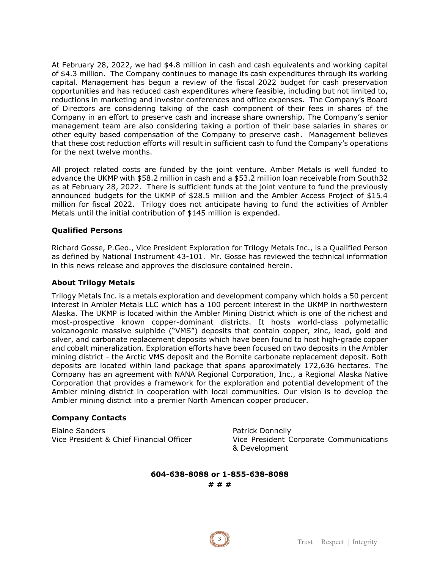At February 28, 2022, we had \$4.8 million in cash and cash equivalents and working capital of \$4.3 million. The Company continues to manage its cash expenditures through its working capital. Management has begun a review of the fiscal 2022 budget for cash preservation opportunities and has reduced cash expenditures where feasible, including but not limited to, reductions in marketing and investor conferences and office expenses. The Company's Board of Directors are considering taking of the cash component of their fees in shares of the Company in an effort to preserve cash and increase share ownership. The Company's senior management team are also considering taking a portion of their base salaries in shares or other equity based compensation of the Company to preserve cash. Management believes that these cost reduction efforts will result in sufficient cash to fund the Company's operations for the next twelve months.

All project related costs are funded by the joint venture. Amber Metals is well funded to advance the UKMP with \$58.2 million in cash and a \$53.2 million loan receivable from South32 as at February 28, 2022. There is sufficient funds at the joint venture to fund the previously announced budgets for the UKMP of \$28.5 million and the Ambler Access Project of \$15.4 million for fiscal 2022. Trilogy does not anticipate having to fund the activities of Ambler Metals until the initial contribution of \$145 million is expended.

### **Qualified Persons**

Richard Gosse, P.Geo., Vice President Exploration for Trilogy Metals Inc., is a Qualified Person as defined by National Instrument 43-101. Mr. Gosse has reviewed the technical information in this news release and approves the disclosure contained herein.

#### **About Trilogy Metals**

Trilogy Metals Inc. is a metals exploration and development company which holds a 50 percent interest in Ambler Metals LLC which has a 100 percent interest in the UKMP in northwestern Alaska. The UKMP is located within the Ambler Mining District which is one of the richest and most-prospective known copper-dominant districts. It hosts world-class polymetallic volcanogenic massive sulphide ("VMS") deposits that contain copper, zinc, lead, gold and silver, and carbonate replacement deposits which have been found to host high-grade copper and cobalt mineralization. Exploration efforts have been focused on two deposits in the Ambler mining district - the Arctic VMS deposit and the Bornite carbonate replacement deposit. Both deposits are located within land package that spans approximately 172,636 hectares. The Company has an agreement with NANA Regional Corporation, Inc., a Regional Alaska Native Corporation that provides a framework for the exploration and potential development of the Ambler mining district in cooperation with local communities. Our vision is to develop the Ambler mining district into a premier North American copper producer.

#### **Company Contacts**

Elaine Sanders **Patrick Donnelly** 

Vice President & Chief Financial Officer Vice President Corporate Communications & Development

#### **604-638-8088 or 1-855-638-8088 # # #**